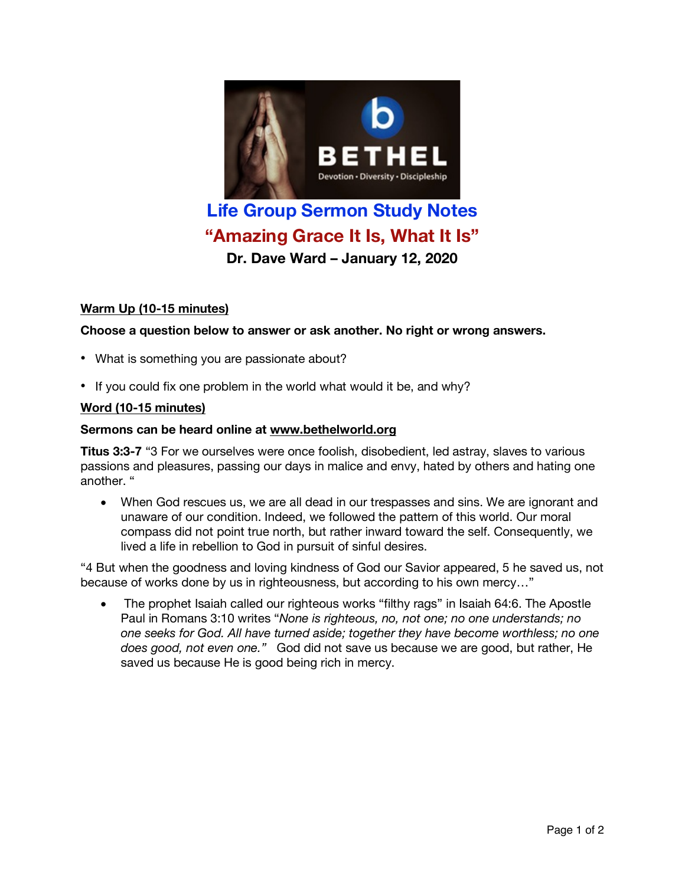

# **Life Group Sermon Study Notes "Amazing Grace It Is, What It Is"**

**Dr. Dave Ward – January 12, 2020**

# **Warm Up (10-15 minutes)**

## **Choose a question below to answer or ask another. No right or wrong answers.**

- What is something you are passionate about?
- If you could fix one problem in the world what would it be, and why?

## **Word (10-15 minutes)**

#### **Sermons can be heard online at www.bethelworld.org**

**Titus 3:3-7** "3 For we ourselves were once foolish, disobedient, led astray, slaves to various passions and pleasures, passing our days in malice and envy, hated by others and hating one another. "

• When God rescues us, we are all dead in our trespasses and sins. We are ignorant and unaware of our condition. Indeed, we followed the pattern of this world. Our moral compass did not point true north, but rather inward toward the self. Consequently, we lived a life in rebellion to God in pursuit of sinful desires.

"4 But when the goodness and loving kindness of God our Savior appeared, 5 he saved us, not because of works done by us in righteousness, but according to his own mercy…"

• The prophet Isaiah called our righteous works "filthy rags" in Isaiah 64:6. The Apostle Paul in Romans 3:10 writes "*None is righteous, no, not one; no one understands; no one seeks for God. All have turned aside; together they have become worthless; no one does good, not even one."* God did not save us because we are good, but rather, He saved us because He is good being rich in mercy.